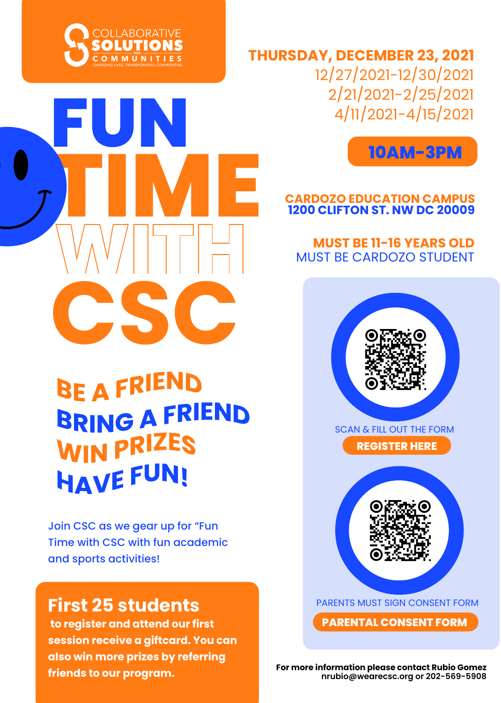

**FUN**





# **1200 CLIFTON ST. NW DC 20009 CARDOZO EDUCATION CAMPUS**

# MUST BE CARDOZO STUDENT **MUST BE 11-16 YEARS OLD**



PARENTS MUST SIGN CONSENT FORM

**PARENTAL CONSENT FORM**

**For more information please contact Rubio Gomez nrubio@wearecsc.org or 202-569-5908**

**TIME CSC BRING A FRIEND** 

WIN PRIZES **HAVE FUN!** 

Join CSC as we gear up for "Fun Time with CSC with fun academic and sports activities!

# **First 25 students**

 **to register and attend our first session receive a giftcard. You can also win more prizes by referring friends to our program.**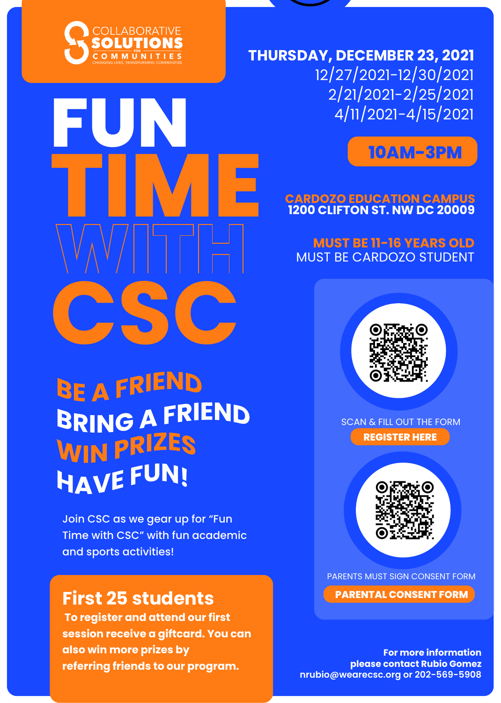

**FUN**

**THURSDAY, DECEMBER 23, 2021** 12/27/2021-12/30/2021 2/21/2021-2/25/2021 4/11/2021-4/15/2021



# **1200 CLIFTON ST. NW DC 20009 CARDOZO EDUCATION CAMPUS**

# MUST BE CARDOZO STUDENT **MUST BE 11-16 YEARS OLD**

# **CSC** BRING A FRIEND **WIN PRIZES HAVE FUN!**

**TIME** 

Join CSC as we gear up for "Fun Time with CSC" with fun academic and sports activities!

# **First 25 students**

 **To register and attend our first session receive a giftcard. You can also win more prizes by referring friends to our program.**



**REGISTER HERE** SCAN & FILL OUT THE FORM



PARENTS MUST SIGN CONSENT FORM **PARENTAL CONSENT FORM**

**For more information please contact Rubio Gomez nrubio@wearecsc.org or 202-569-5908**